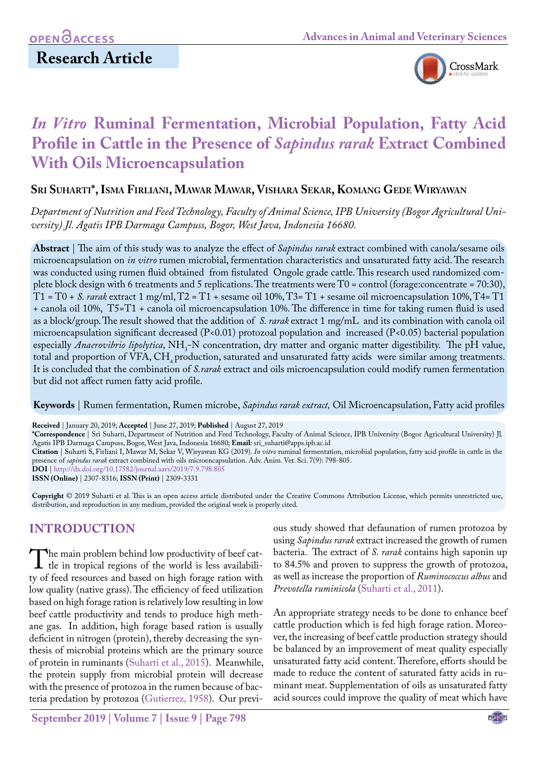# **Research Article**



# *In Vitro* **Ruminal Fermentation, Microbial Population, Fatty Acid Profile in Cattle in the Presence of** *Sapindus rarak* **Extract Combined With Oils Microencapsulation**

## **Sri Suharti\*, Isma Firliani, Mawar Mawar, Vishara Sekar, Komang Gede Wiryawan**

*Department of Nutrition and Feed Technology, Faculty of Animal Science, IPB University (Bogor Agricultural University) Jl. Agatis IPB Darmaga Campuss, Bogor, West Java, Indonesia 16680.*

**Abstract** | The aim of this study was to analyze the effect of *Sapindus rarak* extract combined with canola/sesame oils microencapsulation on *in vitro* rumen microbial, fermentation characteristics and unsaturated fatty acid. The research was conducted using rumen fluid obtained from fistulated Ongole grade cattle. This research used randomized complete block design with 6 treatments and 5 replications. The treatments were T0 = control (forage:concentrate = 70:30), T1 = T0 + *S. rarak* extract 1 mg/ml, T2 = T1 + sesame oil 10%, T3= T1 + sesame oil microencapsulation 10%, T4= T1 + canola oil 10%, T5=T1 + canola oil microencapsulation 10%. The difference in time for taking rumen fluid is used as a block/group. The result showed that the addition of *S. rarak* extract 1 mg/mL and its combination with canola oil microencapsulation significant decreased (P<0.01) protozoal population and increased (P<0.05) bacterial population especially *Anaerovibrio lipolytica*, NH<sub>3</sub>-N concentration, dry matter and organic matter digestibility. The pH value, total and proportion of VFA, CH<sub>4</sub> production, saturated and unsaturated fatty acids were similar among treatments. It is concluded that the combination of *S.rarak* extract and oils microencapsulation could modify rumen fermentation but did not affect rumen fatty acid profile.

**Keywords** | Rumen fermentation, Rumen microbe, *Sapindus rarak extract,* Oil Microencapsulation, Fatty acid profiles

**Received** | January 20, 2019; **Accepted** | June 27, 2019; **Published** | August 27, 2019

**\*Correspondence** | Sri Suharti, Department of Nutrition and Feed Technology, Faculty of Animal Science, IPB University (Bogor Agricultural University) Jl. Agatis IPB Darmaga Campuss, Bogor, West Java, Indonesia 16680; **Email**: sri\_suharti@apps.ipb.ac.id

**Citation** | Suharti S, Firliani I, Mawar M, Sekar V, Wiryawan KG (2019). *In vitro* ruminal fermentation, microbial population, fatty acid profile in cattle in the presence of *sapindus rarak* extract combined with oils microencapsulation. Adv. Anim. Vet. Sci. 7(9): 798-805.

**DOI** | [http://dx.doi.org/10.17582/journal.aavs/2019](http://dx.doi.org/10.17582/journal.aavs/2019/7.9.798.805)/7.9.798.805

**ISSN (Online)** | 2307-8316; **ISSN (Print)** | 2309-3331

**Copyright** © 2019 Suharti et al. This is an open access article distributed under the Creative Commons Attribution License, which permits unrestricted use, distribution, and reproduction in any medium, provided the original work is properly cited.

## **INTRODUCTION**

The main problem behind low productivity of beef cat-<br>the in tropical regions of the world is less availabili-<br>ty of feed resources and based on high forage ration with ty of feed resources and based on high forage ration with low quality (native grass). The efficiency of feed utilization based on high forage ration is relatively low resulting in low beef cattle productivity and tends to produce high methane gas. In addition, high forage based ration is usually deficient in nitrogen (protein), thereby decreasing the synthesis of microbial proteins which are the primary source of protein in ruminants ([Suharti et al., 2015](#page-7-0)). Meanwhile, the protein supply from microbial protein will decrease with the presence of protozoa in the rumen because of bacteria predation by protozoa [\(Gutierrez, 1958\)](#page-7-1). Our previ-

**September 2019 | Volume 7 | Issue 9 | Page 798**

ous study showed that defaunation of rumen protozoa by using *Sapindus rarak* extract increased the growth of rumen bacteria. The extract of *S. rarak* contains high saponin up to 84.5% and proven to suppress the growth of protozoa, as well as increase the proportion of *Ruminococcus albus* and *Prevotella ruminicola* ([Suharti et al., 2011](#page-7-2)).

An appropriate strategy needs to be done to enhance beef cattle production which is fed high forage ration. Moreover, the increasing of beef cattle production strategy should be balanced by an improvement of meat quality especially unsaturated fatty acid content. Therefore, efforts should be made to reduce the content of saturated fatty acids in ruminant meat. Supplementation of oils as unsaturated fatty acid sources could improve the quality of meat which have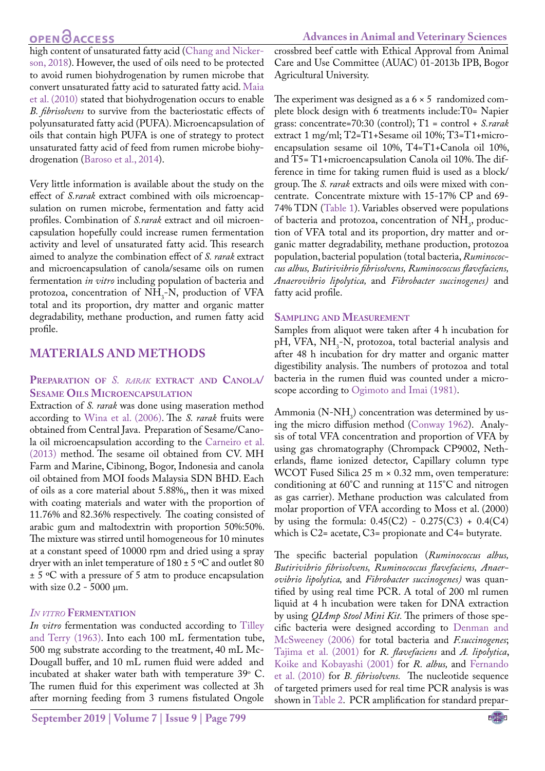# **OPEN GACCESS**

high content of unsaturated fatty acid ([Chang and Nicker](#page-6-0)[son, 2018\)](#page-6-0). However, the used of oils need to be protected to avoid rumen biohydrogenation by rumen microbe that convert unsaturated fatty acid to saturated fatty acid. [Maia](#page-7-3) [et al. \(2010\)](#page-7-3) stated that biohydrogenation occurs to enable *B. fibrisolvens* to survive from the bacteriostatic effects of polyunsaturated fatty acid (PUFA). Microencapsulation of oils that contain high PUFA is one of strategy to protect unsaturated fatty acid of feed from rumen microbe biohydrogenation ([Baroso et al., 2014](#page-6-1)).

Very little information is available about the study on the effect of *S.rarak* extract combined with oils microencapsulation on rumen microbe, fermentation and fatty acid profiles. Combination of *S.rarak* extract and oil microencapsulation hopefully could increase rumen fermentation activity and level of unsaturated fatty acid. This research aimed to analyze the combination effect of *S. rarak* extract and microencapsulation of canola/sesame oils on rumen fermentation *in vitro* including population of bacteria and protozoa, concentration of  $NH<sub>3</sub>$ -N, production of VFA total and its proportion, dry matter and organic matter degradability, methane production, and rumen fatty acid profile.

## **MATERIALS AND METHODS**

## **Preparation of** *S. rarak* **extract and Canola/ Sesame Oils Microencapsulation**

Extraction of *S. rarak* was done using maseration method according to [Wina et al. \(2006\).](#page-7-4) The *S. rarak* fruits were obtained from Central Java. Preparation of Sesame/Canola oil microencapsulation according to the [Carneiro et al.](#page-6-2) [\(2013\)](#page-6-2) method. The sesame oil obtained from CV. MH Farm and Marine, Cibinong, Bogor, Indonesia and canola oil obtained from MOI foods Malaysia SDN BHD. Each of oils as a core material about 5.88%,, then it was mixed with coating materials and water with the proportion of 11.76% and 82.36% respectively. The coating consisted of arabic gum and maltodextrin with proportion 50%:50%. The mixture was stirred until homogeneous for 10 minutes at a constant speed of 10000 rpm and dried using a spray dryer with an inlet temperature of  $180 \pm 5$  °C and outlet 80  $\pm$  5 °C with a pressure of 5 atm to produce encapsulation with size 0.2 - 5000 μm.

## *In vitro* **Fermentation**

*In vitro* fermentation was conducted according to [Tilley](#page-7-5) [and Terry \(1963\)](#page-7-5). Into each 100 mL fermentation tube, 500 mg substrate according to the treatment, 40 mL Mc-Dougall buffer, and 10 mL rumen fluid were added and incubated at shaker water bath with temperature  $39^{\circ}$  C. The rumen fluid for this experiment was collected at 3h after morning feeding from 3 rumens fistulated Ongole

crossbred beef cattle with Ethical Approval from Animal Care and Use Committee (AUAC) 01-2013b IPB, Bogor Agricultural University.

The experiment was designed as a  $6 \times 5$  randomized complete block design with 6 treatments include:T0= Napier grass: concentrate=70:30 (control); T1 = control + *S.rarak* extract 1 mg/ml; T2=T1+Sesame oil 10%; T3=T1+microencapsulation sesame oil 10%, T4=T1+Canola oil 10%, and T5= T1+microencapsulation Canola oil 10%. The difference in time for taking rumen fluid is used as a block/ group. The *S. rarak* extracts and oils were mixed with concentrate. Concentrate mixture with 15-17% CP and 69- 74% TDN ([Table 1](#page-2-0)). Variables observed were populations of bacteria and protozoa, concentration of  $NH<sub>3</sub>$ , production of VFA total and its proportion, dry matter and organic matter degradability, methane production, protozoa population, bacterial population (total bacteria, *Ruminococcus albus, Butirivibrio fibrisolvens, Ruminococcus flavefaciens, Anaerovibrio lipolytica,* and *Fibrobacter succinogenes)* and fatty acid profile.

#### **Sampling and Measurement**

Samples from aliquot were taken after 4 h incubation for pH, VFA, NH<sub>3</sub>-N, protozoa, total bacterial analysis and after 48 h incubation for dry matter and organic matter digestibility analysis. The numbers of protozoa and total bacteria in the rumen fluid was counted under a microscope according to [Ogimoto and Imai \(1981\)](#page-7-6).

Ammonia (N-NH<sub>3</sub>) concentration was determined by using the micro diffusion method [\(Conway 1962\)](#page-6-3). Analysis of total VFA concentration and proportion of VFA by using gas chromatography (Chrompack CP9002, Netherlands, flame ionized detector, Capillary column type WCOT Fused Silica 25 m × 0.32 mm, oven temperature: conditioning at 60°C and running at 115°C and nitrogen as gas carrier). Methane production was calculated from molar proportion of VFA according to Moss et al. (2000) by using the formula:  $0.45(C2) - 0.275(C3) + 0.4(C4)$ which is C2= acetate, C3= propionate and C4= butyrate.

The specific bacterial population (*Ruminococcus albus, Butirivibrio fibrisolvens, Ruminococcus flavefaciens, Anaerovibrio lipolytica,* and *Fibrobacter succinogenes)* was quantified by using real time PCR. A total of 200 ml rumen liquid at 4 h incubation were taken for DNA extraction by using *QIAmp Stool Mini Kit.* The primers of those specific bacteria were designed according to [Denman and](#page-6-4)  [McSweeney \(2006\)](#page-6-4) for total bacteria and *F.succinogenes*; [Tajima et al. \(2001\)](#page-7-7) for *R. flavefaciens* and *A. lipolytica*, [Koike and Kobayashi \(2001\)](#page-7-8) for *R. albus,* and [Fernando](#page-7-9)  [et al. \(2010\)](#page-7-9) for *B. fibrisolvens.* The nucleotide sequence of targeted primers used for real time PCR analysis is was shown in [Table 2.](#page-2-1) PCR amplification for standard prepar-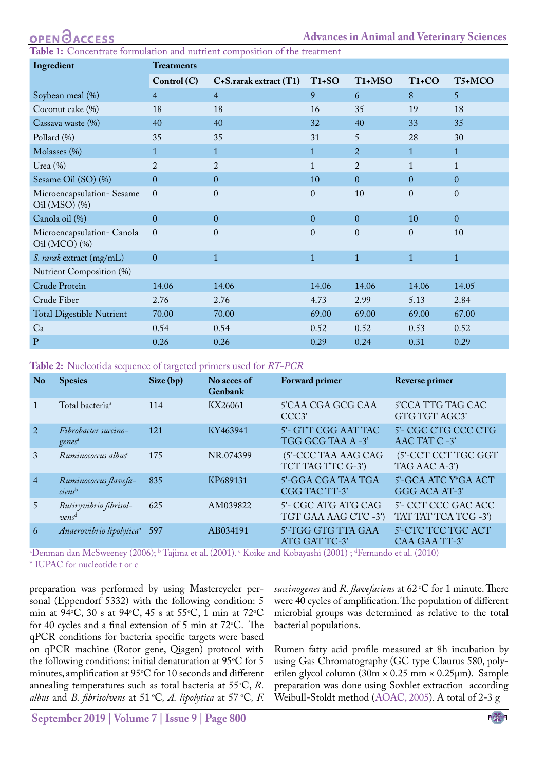<span id="page-2-0"></span>**Table 1:** Concentrate formulation and nutrient composition of the treatment

| Ingredient                                     | <b>Treatments</b> |                             |              |                                  |              |              |  |  |
|------------------------------------------------|-------------------|-----------------------------|--------------|----------------------------------|--------------|--------------|--|--|
|                                                | Control(C)        | $C+S$ .rarak extract $(T1)$ | $T1+SO$      | T <sub>1</sub> +M <sub>S</sub> O | $T1+CO$      | T5+MCO       |  |  |
| Soybean meal (%)                               | $\overline{4}$    | $\overline{4}$              | 9            | 6                                | 8            | 5            |  |  |
| Coconut cake (%)                               | 18                | 18                          | 16           | 35                               | 19           | 18           |  |  |
| Cassava waste (%)                              | 40                | 40                          | 32           | 40                               | 33           | 35           |  |  |
| Pollard (%)                                    | 35                | 35                          | 31           | 5                                | 28           | 30           |  |  |
| Molasses (%)                                   | $\mathbf{1}$      | $\mathbf{1}$                | $\mathbf{1}$ | $\overline{2}$                   | $\mathbf{1}$ | $\mathbf{1}$ |  |  |
| Urea $(\%)$                                    | $\overline{2}$    | $\overline{2}$              | $\mathbf{1}$ | $\overline{2}$                   | $\mathbf{1}$ | $\mathbf{1}$ |  |  |
| Sesame Oil (SO) (%)                            | $\overline{0}$    | $\overline{0}$              | 10           | $\overline{0}$                   | $\mathbf{0}$ | $\mathbf{0}$ |  |  |
| Microencapsulation-Sesame<br>Oil (MSO) $(\% )$ | $\mathbf{0}$      | $\overline{0}$              | $\mathbf{0}$ | 10                               | $\mathbf{0}$ | $\theta$     |  |  |
| Canola oil (%)                                 | $\Omega$          | $\mathbf{0}$                | $\mathbf{0}$ | $\Omega$                         | 10           | $\Omega$     |  |  |
| Microencapsulation- Canola<br>Oil (MCO) $(\%)$ | $\Omega$          | $\theta$                    | $\theta$     | $\theta$                         | $\theta$     | 10           |  |  |
| S. rarak extract (mg/mL)                       | $\overline{0}$    | $\mathbf{1}$                | $\mathbf{1}$ | $\mathbf{1}$                     | $\mathbf{1}$ | $\mathbf{1}$ |  |  |
| Nutrient Composition (%)                       |                   |                             |              |                                  |              |              |  |  |
| Crude Protein                                  | 14.06             | 14.06                       | 14.06        | 14.06                            | 14.06        | 14.05        |  |  |
| Crude Fiber                                    | 2.76              | 2.76                        | 4.73         | 2.99                             | 5.13         | 2.84         |  |  |
| <b>Total Digestible Nutrient</b>               | 70.00             | 70.00                       | 69.00        | 69.00                            | 69.00        | 67.00        |  |  |
| Ca                                             | 0.54              | 0.54                        | 0.52         | 0.52                             | 0.53         | 0.52         |  |  |
| ${\bf P}$                                      | 0.26              | 0.26                        | 0.29         | 0.24                             | 0.31         | 0.29         |  |  |

<span id="page-2-1"></span>**Table 2:** Nucleotida sequence of targeted primers used for *RT-PCR*

| N <sub>o</sub> | <b>Spesies</b>                              | Size (bp) | No acces of<br>Genbank | Forward primer                              | Reverse primer                              |
|----------------|---------------------------------------------|-----------|------------------------|---------------------------------------------|---------------------------------------------|
|                | Total bacteria <sup>a</sup>                 | 114       | KX26061                | 5'CAA CGA GCG CAA<br>CCC <sub>3</sub>       | 5'CCA TTG TAG CAC<br>GTG TGT AGC3'          |
| $\mathcal{D}$  | Fibrobacter succino-<br>genes <sup>a</sup>  | 121       | KY463941               | 5'- GTT CGG AAT TAC<br>TGG GCG TAA A -3'    | 5'- CGC CTG CCC CTG<br>AAC TAT C -3'        |
| 3              | $Runinococcus$ albus $c$                    | 175       | NR.074399              | (5'-CCC TAA AAG CAG<br>TCT TAG TTC G-3')    | (5'-CCT CCT TGC GGT<br>TAG AAC A-3')        |
| $\overline{4}$ | Ruminococcus flavefa-<br>ciens <sup>b</sup> | 835       | KP689131               | 5'-GGA CGA TAA TGA<br>CGG TAC TT-3'         | 5'-GCA ATC Y*GA ACT<br>GGG ACA AT-3'        |
| $5^{\circ}$    | Butiryvibrio fibrisol-<br>vens <sup>d</sup> | 625       | AM039822               | 5'- CGC ATG ATG CAG<br>TGT GAA AAG CTC -3') | 5'- CCT CCC GAC ACC<br>TAT TAT TCA TCG -3') |
| 6              | Anaerovibrio lipolytica <sup>b</sup>        | 597       | AB034191               | 5'-TGG GTG TTA GAA<br>ATG GAT TC-3'         | 5'-CTC TCC TGC ACT<br>CAA GAA TT-3'         |

"Denman dan McSweeney (2006); " Tajima et al. (2001). ° Koike and Kobayashi (2001) ; "Fernando et al. (2010)

\* IUPAC for nucleotide t or c

preparation was performed by using Mastercycler personal (Eppendorf 5332) with the following condition: 5 min at 94°C, 30 s at 94°C, 45 s at 55°C, 1 min at 72°C for 40 cycles and a final extension of 5 min at  $72^{\circ}$ C. The qPCR conditions for bacteria specific targets were based on qPCR machine (Rotor gene, Qiagen) protocol with the following conditions: initial denaturation at  $95^{\circ}$ C for 5 minutes, amplification at 95°C for 10 seconds and different annealing temperatures such as total bacteria at 55°C, *R*. *albus* and *B. fibrisolvens* at 51 oC*, A. lipolytica* at 57 oC*, F.* 

*succinogenes* and *R. flavefaciens* at 62 °C for 1 minute. There were 40 cycles of amplification. The population of different microbial groups was determined as relative to the total bacterial populations.

Rumen fatty acid profile measured at 8h incubation by using Gas Chromatography (GC type Claurus 580, polyetilen glycol column (30m × 0.25 mm × 0.25µm). Sample preparation was done using Soxhlet extraction according Weibull-Stoldt method ([AOAC, 2005\)](#page-6-5). A total of 2-3 g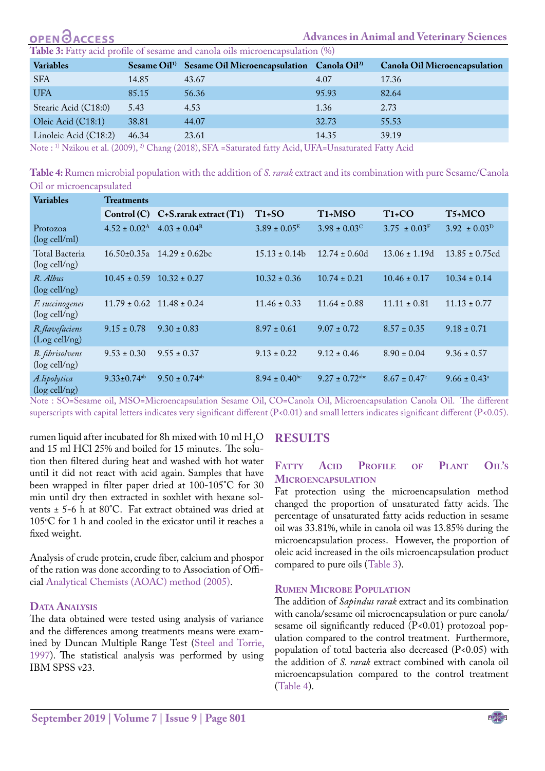<span id="page-3-0"></span>

| <b>OPEN OACCESS</b>                                                          |       |                                                                                 | <b>Advances in Animal and Veterinary Sciences</b> |                               |  |  |  |  |  |
|------------------------------------------------------------------------------|-------|---------------------------------------------------------------------------------|---------------------------------------------------|-------------------------------|--|--|--|--|--|
| Table 3: Fatty acid profile of sesame and canola oils microencapsulation (%) |       |                                                                                 |                                                   |                               |  |  |  |  |  |
| <b>Variables</b>                                                             |       | Sesame Oil <sup>1)</sup> Sesame Oil Microencapsulation Canola Oil <sup>2)</sup> |                                                   | Canola Oil Microencapsulation |  |  |  |  |  |
| <b>SFA</b>                                                                   | 14.85 | 43.67                                                                           | 4.07                                              | 17.36                         |  |  |  |  |  |
| <b>UFA</b>                                                                   | 85.15 | 56.36                                                                           | 95.93                                             | 82.64                         |  |  |  |  |  |
| Stearic Acid (C18:0)                                                         | 5.43  | 4.53                                                                            | 1.36                                              | 2.73                          |  |  |  |  |  |
| Oleic Acid (C18:1)                                                           | 38.81 | 44.07                                                                           | 32.73                                             | 55.53                         |  |  |  |  |  |
| Linoleic Acid (C18:2)                                                        | 46.34 | 23.61                                                                           | 14.35                                             | 39.19                         |  |  |  |  |  |
|                                                                              |       | $\sim$ $\sim$ $\sim$ $\sim$ $\sim$ $\sim$ $\sim$                                |                                                   |                               |  |  |  |  |  |

Note : 1) Nzikou et al. (2009), 2) Chang (2018), SFA =Saturated fatty Acid, UFA=Unsaturated Fatty Acid

<span id="page-3-1"></span>**Table 4:** Rumen microbial population with the addition of *S. rarak* extract and its combination with pure Sesame/Canola Oil or microencapsulated

| <b>Variables</b>                    | <b>Treatments</b>             |                                    |                    |                                  |                              |                         |  |  |  |
|-------------------------------------|-------------------------------|------------------------------------|--------------------|----------------------------------|------------------------------|-------------------------|--|--|--|
|                                     |                               | Control (C) C+S.rarak extract (T1) | $T1+SO$            | T <sub>1</sub> +M <sub>S</sub> O | $T1+CO$                      | T5+MCO                  |  |  |  |
| Protozoa<br>$(log$ cell/ml)         | $4.52 \pm 0.02^{\rm A}$       | $4.03 \pm 0.04^{\rm B}$            | $3.89 \pm 0.05^E$  | $3.98 \pm 0.03^{\circ}$          | $3.75 \pm 0.03^{\rm F}$      | $3.92 \pm 0.03^{\rm D}$ |  |  |  |
| Total Bacteria<br>$(\log$ cell/ng)  | $16.50 \pm 0.35a$             | $14.29 \pm 0.62$ bc                | $15.13 \pm 0.14$   | $12.74 \pm 0.60d$                | $13.06 \pm 1.19d$            | $13.85 \pm 0.75$ cd     |  |  |  |
| R. Albus<br>$(\log$ cell/ng)        | $10.45 \pm 0.59$              | $10.32 \pm 0.27$                   | $10.32 \pm 0.36$   | $10.74 \pm 0.21$                 | $10.46 \pm 0.17$             | $10.34 \pm 0.14$        |  |  |  |
| F. succinogenes<br>$(\log$ cell/ng) | $11.79 \pm 0.62$              | $11.48 \pm 0.24$                   | $11.46 \pm 0.33$   | $11.64 \pm 0.88$                 | $11.11 \pm 0.81$             | $11.13 \pm 0.77$        |  |  |  |
| R.flavefaciens<br>$(Log$ cell/ng)   | $9.15 \pm 0.78$               | $9.30 \pm 0.83$                    | $8.97 \pm 0.61$    | $9.07 \pm 0.72$                  | $8.57 \pm 0.35$              | $9.18 \pm 0.71$         |  |  |  |
| B. fibrisolvens<br>$(\log$ cell/ng) | $9.53 \pm 0.30$               | $9.55 \pm 0.37$                    | $9.13 \pm 0.22$    | $9.12 \pm 0.46$                  | $8.90 \pm 0.04$              | $9.36 \pm 0.57$         |  |  |  |
| A.lipolytica<br>$(log$ cell/ng)     | $9.33 \pm 0.74$ <sup>ab</sup> | $9.50 \pm 0.74$ <sup>ab</sup>      | $8.94 \pm 0.40$ bc | $9.27 \pm 0.72$ <sup>abc</sup>   | $8.67 \pm 0.47$ <sup>c</sup> | $9.66 \pm 0.43^{\circ}$ |  |  |  |

Note : SO=Sesame oil, MSO=Microencapsulation Sesame Oil, CO=Canola Oil, Microencapsulation Canola Oil. The different superscripts with capital letters indicates very significant different (P<0.01) and small letters indicates significant different (P<0.05).

rumen liquid after incubated for 8h mixed with  $10 \text{ ml H}_{2}$ O and 15 ml HCl 25% and boiled for 15 minutes. The solution then filtered during heat and washed with hot water until it did not react with acid again. Samples that have been wrapped in filter paper dried at 100-105°C for 30 min until dry then extracted in soxhlet with hexane solvents ± 5-6 h at 80°C. Fat extract obtained was dried at  $105^{\circ}$ C for 1 h and cooled in the exicator until it reaches a fixed weight.

Analysis of crude protein, crude fiber, calcium and phospor of the ration was done according to to Association of Official [Analytical Chemists \(AOAC\) method \(2005\)](#page-6-5).

#### **Data Analysis**

The data obtained were tested using analysis of variance and the differences among treatments means were examined by Duncan Multiple Range Test ([Steel and Torrie,](#page-7-10) [1997\)](#page-7-10). The statistical analysis was performed by using IBM SPSS v23.

## **RESULTS**

#### **Fatty Acid Profile of Plant Oil's Microencapsulation**

Fat protection using the microencapsulation method changed the proportion of unsaturated fatty acids. The percentage of unsaturated fatty acids reduction in sesame oil was 33.81%, while in canola oil was 13.85% during the microencapsulation process. However, the proportion of oleic acid increased in the oils microencapsulation product compared to pure oils ([Table 3\)](#page-3-0).

#### **Rumen Microbe Population**

The addition of *Sapindus rarak* extract and its combination with canola/sesame oil microencapsulation or pure canola/ sesame oil significantly reduced (P<0.01) protozoal population compared to the control treatment. Furthermore, population of total bacteria also decreased (P<0.05) with the addition of *S. rarak* extract combined with canola oil microencapsulation compared to the control treatment ([Table 4\)](#page-3-1).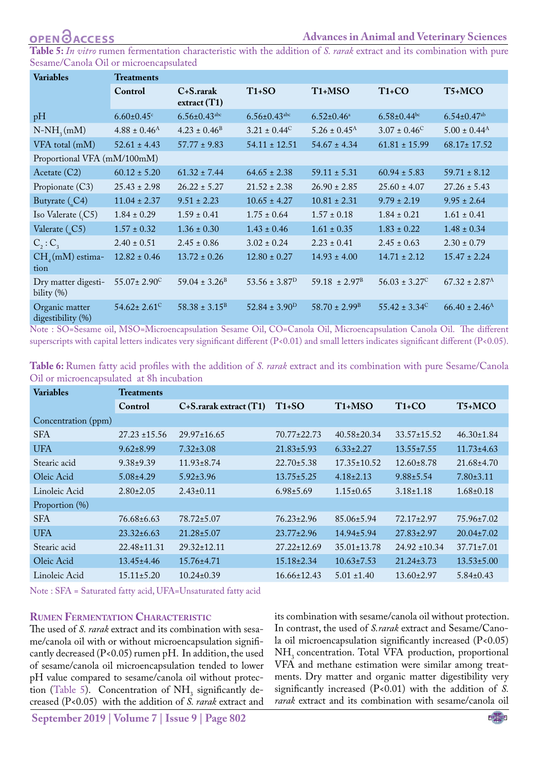<span id="page-4-0"></span>**Table 5:** *In vitro* rumen fermentation characteristic with the addition of *S. rarak* extract and its combination with pure Sesame/Canola Oil or microencapsulated

| <b>Variables</b>                     | <b>Treatments</b>             |                                |                             |                                  |                          |                               |  |  |  |
|--------------------------------------|-------------------------------|--------------------------------|-----------------------------|----------------------------------|--------------------------|-------------------------------|--|--|--|
|                                      | Control                       | C+S.rarak<br>extract(T1)       | $T1+SO$                     | T <sub>1</sub> +M <sub>S</sub> O | $T1+CO$                  | T5+MCO                        |  |  |  |
| pH                                   | $6.60 \pm 0.45$ <sup>c</sup>  | $6.56 \pm 0.43$ <sup>abc</sup> | $6.56 \pm 0.43$ abc         | $6.52 \pm 0.46$ <sup>a</sup>     | $6.58 \pm 0.44$ bc       | $6.54 \pm 0.47$ <sup>ab</sup> |  |  |  |
| $N-NH_{\gamma}(mM)$                  | $4.88 \pm 0.46^{\rm A}$       | $4.23 \pm 0.46^{\text{B}}$     | $3.21 \pm 0.44^{\circ}$     | $5.26 \pm 0.45$ <sup>A</sup>     | $3.07 \pm 0.46^{\circ}$  | $5.00 \pm 0.44^{\rm A}$       |  |  |  |
| VFA total (mM)                       | $52.61 \pm 4.43$              | $57.77 \pm 9.83$               | $54.11 \pm 12.51$           | $54.67 \pm 4.34$                 | $61.81 \pm 15.99$        | $68.17 \pm 17.52$             |  |  |  |
| Proportional VFA (mM/100mM)          |                               |                                |                             |                                  |                          |                               |  |  |  |
| Acetate $(C2)$                       | $60.12 \pm 5.20$              | $61.32 \pm 7.44$               | $64.65 \pm 2.38$            | $59.11 \pm 5.31$                 | $60.94 \pm 5.83$         | $59.71 \pm 8.12$              |  |  |  |
| Propionate (C3)                      | $25.43 \pm 2.98$              | $26.22 \pm 5.27$               | $21.52 \pm 2.38$            | $26.90 \pm 2.85$                 | $25.60 \pm 4.07$         | $27.26 \pm 5.43$              |  |  |  |
| Butyrate $($ <sub>c</sub> $C4)$      | $11.04 \pm 2.37$              | $9.51 \pm 2.23$                | $10.65 \pm 4.27$            | $10.81 \pm 2.31$                 | $9.79 \pm 2.19$          | $9.95 \pm 2.64$               |  |  |  |
| Iso Valerate (C5)                    | $1.84 \pm 0.29$               | $1.59 \pm 0.41$                | $1.75 \pm 0.64$             | $1.57 \pm 0.18$                  | $1.84 \pm 0.21$          | $1.61 \pm 0.41$               |  |  |  |
| Valerate $($ <sub>c</sub> $C5)$      | $1.57 \pm 0.32$               | $1.36 \pm 0.30$                | $1.43 \pm 0.46$             | $1.61 \pm 0.35$                  | $1.83 \pm 0.22$          | $1.48 \pm 0.34$               |  |  |  |
| $C_2$ : $C_3$                        | $2.40 \pm 0.51$               | $2.45 \pm 0.86$                | $3.02 \pm 0.24$             | $2.23 \pm 0.41$                  | $2.45 \pm 0.63$          | $2.30 \pm 0.79$               |  |  |  |
| $CH4(mM)$ estima-<br>tion            | $12.82 \pm 0.46$              | $13.72 \pm 0.26$               | $12.80 \pm 0.27$            | $14.93 \pm 4.00$                 | $14.71 \pm 2.12$         | $15.47 \pm 2.24$              |  |  |  |
| Dry matter digesti-<br>bility $(\%)$ | $55.07 \pm 2.90^{\circ}$      | $59.04 \pm 3.26^{\circ}$       | $53.56 \pm 3.87^{\text{D}}$ | $59.18 \pm 2.97^{\text{B}}$      | $56.03 \pm 3.27^{\circ}$ | $67.32 \pm 2.87$ <sup>A</sup> |  |  |  |
| Organic matter<br>digestibility (%)  | $54.62 \pm 2.61$ <sup>C</sup> | $58.38 \pm 3.15^{\text{B}}$    | $52.84 \pm 3.90^{\rm D}$    | $58.70 \pm 2.99^{\text{B}}$      | $55.42 \pm 3.34^{\circ}$ | $66.40 \pm 2.46^{\rm A}$      |  |  |  |

Note : SO=Sesame oil, MSO=Microencapsulation Sesame Oil, CO=Canola Oil, Microencapsulation Canola Oil. The different superscripts with capital letters indicates very significant different (P<0.01) and small letters indicates significant different (P<0.05).

<span id="page-4-1"></span>

| Table 6: Rumen fatty acid profiles with the addition of S. rarak extract and its combination with pure Sesame/Canola |  |  |  |  |  |
|----------------------------------------------------------------------------------------------------------------------|--|--|--|--|--|
| Oil or microencapsulated at 8h incubation                                                                            |  |  |  |  |  |

| <b>Variables</b>    | <b>Treatments</b> |                             |                   |                                  |                   |                  |
|---------------------|-------------------|-----------------------------|-------------------|----------------------------------|-------------------|------------------|
|                     | Control           | $C+S$ .rarak extract $(T1)$ | $T1+SO$           | T <sub>1</sub> +M <sub>S</sub> O | $T1+CO$           | T5+MCO           |
| Concentration (ppm) |                   |                             |                   |                                  |                   |                  |
| <b>SFA</b>          | $27.23 \pm 15.56$ | $29.97 \pm 16.65$           | $70.77 \pm 22.73$ | $40.58 \pm 20.34$                | $33.57 \pm 15.52$ | $46.30 \pm 1.84$ |
| <b>UFA</b>          | $9.62 \pm 8.99$   | $7.32 \pm 3.08$             | $21.83 \pm 5.93$  | $6.33 \pm 2.27$                  | $13.55 \pm 7.55$  | $11.73 \pm 4.63$ |
| Stearic acid        | $9.38 \pm 9.39$   | $11.93 \pm 8.74$            | $22.70 \pm 5.38$  | $17.35 \pm 10.52$                | $12.60 \pm 8.78$  | $21.68 \pm 4.70$ |
| Oleic Acid          | $5.08 \pm 4.29$   | $5.92 \pm 3.96$             | $13.75 \pm 5.25$  | $4.18 \pm 2.13$                  | $9.88 \pm 5.54$   | $7.80 \pm 3.11$  |
| Linoleic Acid       | $2.80 \pm 2.05$   | $2.43 \pm 0.11$             | $6.98 \pm 5.69$   | $1.15 \pm 0.65$                  | $3.18 \pm 1.18$   | $1.68 \pm 0.18$  |
| Proportion (%)      |                   |                             |                   |                                  |                   |                  |
| <b>SFA</b>          | 76.68±6.63        | $78.72 \pm 5.07$            | $76.23 \pm 2.96$  | $85.06 \pm 5.94$                 | $72.17 \pm 2.97$  | $75.96 \pm 7.02$ |
| <b>UFA</b>          | $23.32 \pm 6.63$  | $21.28 \pm 5.07$            | $23.77 \pm 2.96$  | $14.94 \pm 5.94$                 | $27.83 \pm 2.97$  | $20.04 \pm 7.02$ |
| Stearic acid        | 22.48±11.31       | $29.32 \pm 12.11$           | $27.22 \pm 12.69$ | $35.01 \pm 13.78$                | $24.92 \pm 10.34$ | $37.71 \pm 7.01$ |
| Oleic Acid          | $13.45 \pm 4.46$  | $15.76 \pm 4.71$            | $15.18 \pm 2.34$  | $10.63 \pm 7.53$                 | $21.24 \pm 3.73$  | $13.53 \pm 5.00$ |
| Linoleic Acid       | $15.11 \pm 5.20$  | $10.24 \pm 0.39$            | $16.66 \pm 12.43$ | $5.01 \pm 1.40$                  | $13.60 \pm 2.97$  | $5.84 \pm 0.43$  |

Note : SFA = Saturated fatty acid, UFA=Unsaturated fatty acid

#### **Rumen Fermentation Characteristic**

The used of *S. rarak* extract and its combination with sesame/canola oil with or without microencapsulation significantly decreased (P<0.05) rumen pH. In addition, the used of sesame/canola oil microencapsulation tended to lower pH value compared to sesame/canola oil without protec-tion [\(Table 5\)](#page-4-0). Concentration of  $NH<sub>3</sub>$  significantly decreased (P<0.05) with the addition of *S. rarak* extract and

its combination with sesame/canola oil without protection. In contrast, the used of *S.rarak* extract and Sesame/Canola oil microencapsulation significantly increased (P<0.05) NH<sub>3</sub> concentration. Total VFA production, proportional VFA and methane estimation were similar among treatments. Dry matter and organic matter digestibility very significantly increased (P<0.01) with the addition of *S. rarak* extract and its combination with sesame/canola oil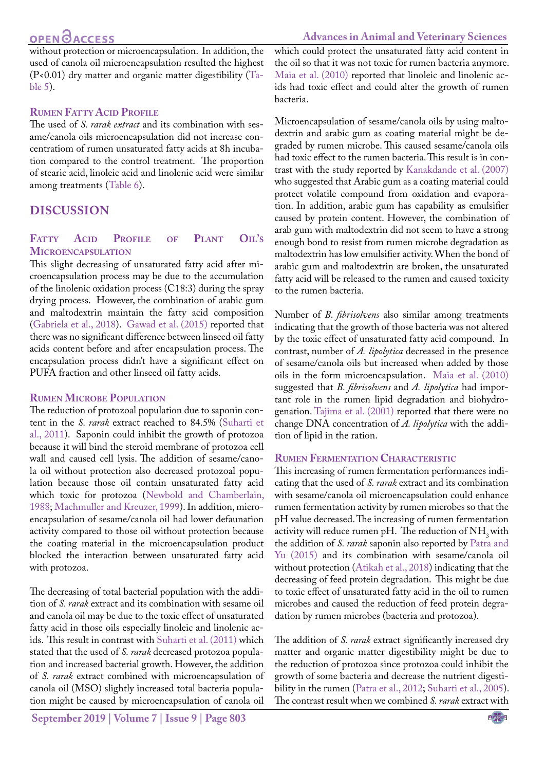## **OPEN**<sub>d</sub>

without protection or microencapsulation. In addition, the used of canola oil microencapsulation resulted the highest (P<0.01) dry matter and organic matter digestibility ([Ta](#page-4-0)[ble 5\)](#page-4-0).

## **Rumen Fatty Acid Profile**

The used of *S. rarak extract* and its combination with sesame/canola oils microencapsulation did not increase concentratiom of rumen unsaturated fatty acids at 8h incubation compared to the control treatment. The proportion of stearic acid, linoleic acid and linolenic acid were similar among treatments ([Table 6\)](#page-4-1).

## **DISCUSSION**

## **Fatty Acid Profile of Plant Oil's Microencapsulation**

This slight decreasing of unsaturated fatty acid after microencapsulation process may be due to the accumulation of the linolenic oxidation process (C18:3) during the spray drying process. However, the combination of arabic gum and maltodextrin maintain the fatty acid composition [\(Gabriela et al., 2018\)](#page-7-11). Gawad et al. (2015) reported that there was no significant difference between linseed oil fatty acids content before and after encapsulation process. The encapsulation process didn't have a significant effect on PUFA fraction and other linseed oil fatty acids.

#### **Rumen Microbe Population**

The reduction of protozoal population due to saponin content in the *S. rarak* extract reached to 84.5% [\(Suharti et](#page-7-2) [al., 2011](#page-7-2)). Saponin could inhibit the growth of protozoa because it will bind the steroid membrane of protozoa cell wall and caused cell lysis. The addition of sesame/canola oil without protection also decreased protozoal population because those oil contain unsaturated fatty acid which toxic for protozoa [\(Newbold and Chamberlain,](#page-7-12) [1988;](#page-7-12) [Machmuller and Kreuzer, 1999](#page-7-13)). In addition, microencapsulation of sesame/canola oil had lower defaunation activity compared to those oil without protection because the coating material in the microencapsulation product blocked the interaction between unsaturated fatty acid with protozoa.

The decreasing of total bacterial population with the addition of *S. rarak* extract and its combination with sesame oil and canola oil may be due to the toxic effect of unsaturated fatty acid in those oils especially linoleic and linolenic acids. This result in contrast with [Suharti et al. \(2011\)](#page-7-2) which stated that the used of *S. rarak* decreased protozoa population and increased bacterial growth. However, the addition of *S. rarak* extract combined with microencapsulation of canola oil (MSO) slightly increased total bacteria population might be caused by microencapsulation of canola oil

which could protect the unsaturated fatty acid content in the oil so that it was not toxic for rumen bacteria anymore. [Maia et al. \(2010\)](#page-7-3) reported that linoleic and linolenic acids had toxic effect and could alter the growth of rumen bacteria.

Microencapsulation of sesame/canola oils by using maltodextrin and arabic gum as coating material might be degraded by rumen microbe. This caused sesame/canola oils had toxic effect to the rumen bacteria. This result is in contrast with the study reported by [Kanakdande et al. \(2007\)](#page-7-14)  who suggested that Arabic gum as a coating material could protect volatile compound from oxidation and evaporation. In addition, arabic gum has capability as emulsifier caused by protein content. However, the combination of arab gum with maltodextrin did not seem to have a strong enough bond to resist from rumen microbe degradation as maltodextrin has low emulsifier activity. When the bond of arabic gum and maltodextrin are broken, the unsaturated fatty acid will be released to the rumen and caused toxicity to the rumen bacteria.

Number of *B. fibrisolvens* also similar among treatments indicating that the growth of those bacteria was not altered by the toxic effect of unsaturated fatty acid compound. In contrast, number of *A. lipolytica* decreased in the presence of sesame/canola oils but increased when added by those oils in the form microencapsulation. [Maia et al. \(2010\)](#page-7-3)  suggested that *B. fibrisolvens* and *A. lipolytica* had important role in the rumen lipid degradation and biohydrogenation. [Tajima et al. \(2001\)](#page-7-7) reported that there were no change DNA concentration of *A. lipolytica* with the addition of lipid in the ration.

## **Rumen Fermentation Characteristic**

This increasing of rumen fermentation performances indicating that the used of *S. rarak* extract and its combination with sesame/canola oil microencapsulation could enhance rumen fermentation activity by rumen microbes so that the pH value decreased. The increasing of rumen fermentation activity will reduce rumen pH. The reduction of  $NH<sub>3</sub>$  with the addition of *S. rarak* saponin also reported by [Patra and](#page-7-15)  [Yu \(2015\)](#page-7-15) and its combination with sesame/canola oil without protection [\(Atikah et al., 2018\)](#page-6-5) indicating that the decreasing of feed protein degradation. This might be due to toxic effect of unsaturated fatty acid in the oil to rumen microbes and caused the reduction of feed protein degradation by rumen microbes (bacteria and protozoa).

The addition of *S. rarak* extract significantly increased dry matter and organic matter digestibility might be due to the reduction of protozoa since protozoa could inhibit the growth of some bacteria and decrease the nutrient digestibility in the rumen ([Patra et al., 2012;](#page-7-16) [Suharti et al., 2005](#page-7-17)). The contrast result when we combined *S. rarak* extract with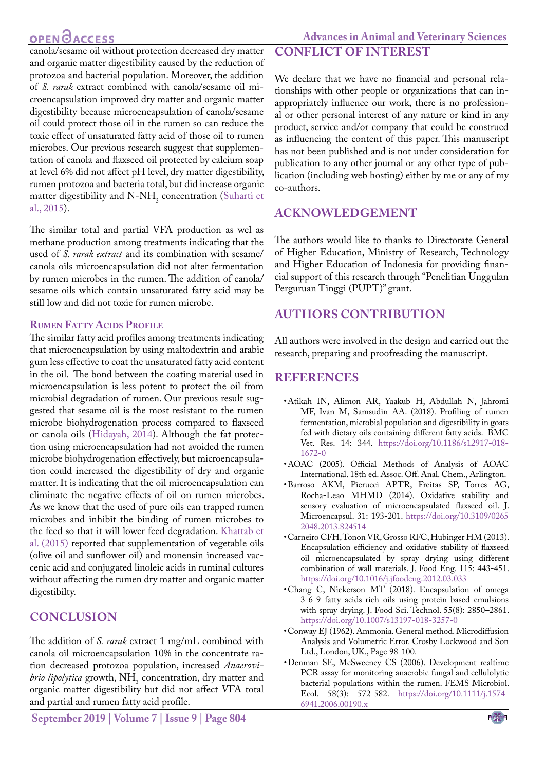# **OPEN**OACCESS

## **Advances in Animal and Veterinary Sciences**

canola/sesame oil without protection decreased dry matter and organic matter digestibility caused by the reduction of protozoa and bacterial population. Moreover, the addition of *S. rarak* extract combined with canola/sesame oil microencapsulation improved dry matter and organic matter digestibility because microencapsulation of canola/sesame oil could protect those oil in the rumen so can reduce the toxic effect of unsaturated fatty acid of those oil to rumen microbes. Our previous research suggest that supplementation of canola and flaxseed oil protected by calcium soap at level 6% did not affect pH level, dry matter digestibility, rumen protozoa and bacteria total, but did increase organic matter digestibility and  $N-NH_3$  concentration [\(Suharti et](#page-7-0) [al., 2015\)](#page-7-0).

The similar total and partial VFA production as wel as methane production among treatments indicating that the used of *S. rarak extract* and its combination with sesame/ canola oils microencapsulation did not alter fermentation by rumen microbes in the rumen. The addition of canola/ sesame oils which contain unsaturated fatty acid may be still low and did not toxic for rumen microbe.

## **RUMEN FATTY ACIDS PROFILE**

The similar fatty acid profiles among treatments indicating that microencapsulation by using maltodextrin and arabic gum less effective to coat the unsaturated fatty acid content in the oil. The bond between the coating material used in microencapsulation is less potent to protect the oil from microbial degradation of rumen. Our previous result suggested that sesame oil is the most resistant to the rumen microbe biohydrogenation process compared to flaxseed or canola oils [\(Hidayah, 2014](#page-7-18)). Although the fat protection using microencapsulation had not avoided the rumen microbe biohydrogenation effectively, but microencapsulation could increased the digestibility of dry and organic matter. It is indicating that the oil microencapsulation can eliminate the negative effects of oil on rumen microbes. As we know that the used of pure oils can trapped rumen microbes and inhibit the binding of rumen microbes to the feed so that it will lower feed degradation. [Khattab et](#page-7-19) [al. \(2015\)](#page-7-19) reported that supplementation of vegetable oils (olive oil and sunflower oil) and monensin increased vaccenic acid and conjugated linoleic acids in ruminal cultures without affecting the rumen dry matter and organic matter digestibilty.

## **CONCLUSION**

The addition of *S. rarak* extract 1 mg/mL combined with canola oil microencapsulation 10% in the concentrate ration decreased protozoa population, increased *Anaerovibrio lipolytica* growth, NH<sub>3</sub> concentration, dry matter and organic matter digestibility but did not affect VFA total and partial and rumen fatty acid profile.

We declare that we have no financial and personal relationships with other people or organizations that can inappropriately influence our work, there is no professional or other personal interest of any nature or kind in any product, service and/or company that could be construed as influencing the content of this paper. This manuscript has not been published and is not under consideration for publication to any other journal or any other type of publication (including web hosting) either by me or any of my co‐authors.

## **ACKNOWLEDGEMENT**

**CONFLICT OF INTEREST**

The authors would like to thanks to Directorate General of Higher Education, Ministry of Research, Technology and Higher Education of Indonesia for providing financial support of this research through "Penelitian Unggulan Perguruan Tinggi (PUPT)" grant.

## **Authors Contribution**

All authors were involved in the design and carried out the research, preparing and proofreading the manuscript.

## **REFERENCES**

- <span id="page-6-5"></span>• Atikah IN, Alimon AR, Yaakub H, Abdullah N, Jahromi MF, Ivan M, Samsudin AA. (2018). Profiling of rumen fermentation, microbial population and digestibility in goats fed with dietary oils containing different fatty acids. BMC Vet. Res. 14: 344. [https://doi.org/10.1186/s12917-018-](https://doi.org/10.1186/s12917-018-1672-0 ) [1672-0](https://doi.org/10.1186/s12917-018-1672-0 )
- • AOAC (2005). Official Methods of Analysis of AOAC International. 18th ed. Assoc. Off. Anal. Chem., Arlington.
- <span id="page-6-1"></span>• Barroso AKM, Pierucci APTR, Freitas SP, Torres AG, Rocha-Leao MHMD (2014). Oxidative stability and sensory evaluation of microencapsulated flaxseed oil. J. Microencapsul. 31: 193-201. [https://doi.org/10.3109/0265](https://doi.org/10.3109/02652048.2013.824514 ) [2048.2013.824514](https://doi.org/10.3109/02652048.2013.824514 )
- <span id="page-6-2"></span>• Carneiro CFH, Tonon VR, Grosso RFC, Hubinger HM (2013). Encapsulation efficiency and oxidative stability of flaxseed oil microencapsulated by spray drying using different combination of wall materials. J. Food Eng*.* 115: 443-451. <https://doi.org/10.1016/j.jfoodeng.2012.03.033>
- <span id="page-6-0"></span>• Chang C, Nickerson MT (2018). Encapsulation of omega 3-6-9 fatty acids-rich oils using protein-based emulsions with spray drying. J. Food Sci. Technol. 55(8): 2850–2861. [https://doi.org/10.1007/s13197-018-3257-0](https://doi.org/10.1007/s13197-018-3257-0  )
- <span id="page-6-3"></span>• Conway EJ (1962). Ammonia. General method. Microdiffusion Analysis and Volumetric Error. Crosby Lockwood and Son Ltd., London, UK., Page 98-100.
- <span id="page-6-4"></span>• Denman SE, McSweeney CS (2006). Development realtime PCR assay for monitoring anaerobic fungal and cellulolytic bacterial populations within the rumen. FEMS Microbiol. Ecol. 58(3): 572-582. [https://doi.org/10.1111/j.1574-](https://doi.org/10.1111/j.1574-6941.2006.00190.x ) [6941.2006.00190.x](https://doi.org/10.1111/j.1574-6941.2006.00190.x )